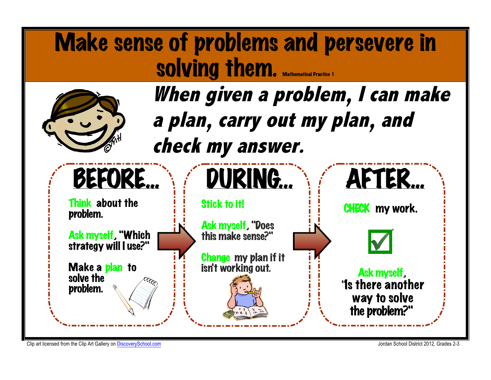

Clip art licensed from the Clip Art Gallery on DiscoverySchool.com Jordan School District 2012, Grades 2-3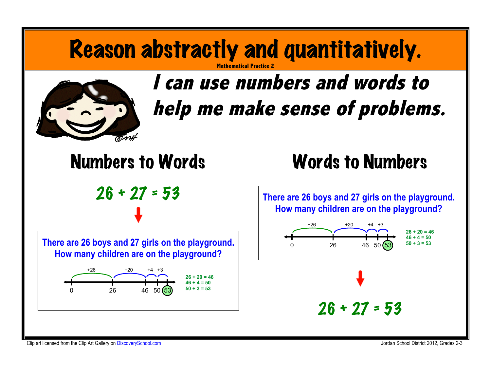#### Reason abstractly and quantitatively. **Mathematical Practice 2**



# **I can use numbers and words to**  help me make sense of problems.





### Words to Numbers

**There are 26 boys and 27 girls on the playground. How many children are on the playground?**

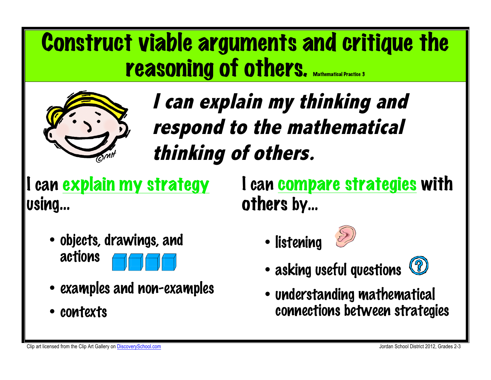# Construct viable arguments and critique the **reasoning of others.** Mathematical Practice 3



**I can explain my thinking and respond to the mathematical thinking of others.**

can explain my strategy using…

I can compare strategies with others by…

- objects, drawings, and actions
	-
- examples and non-examples
- contexts

• listening



- asking useful questions (2)
- understanding mathematical connections between strategies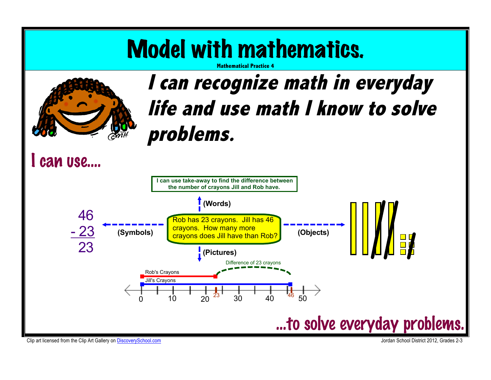# Model with mathematics.



#### **Mathematical Practice 4**

## **I can recognize math in everyday life and use math I know to solve problems.**

### I can use….



Clip art licensed from the Clip Art Gallery on DiscoverySchool.com and the Clip Art Gallery on DiscoverySchool.com and the Clip Art Gallery on DiscoverySchool.com and the Clip Art Gallery on DiscoverySchool.com and the Cli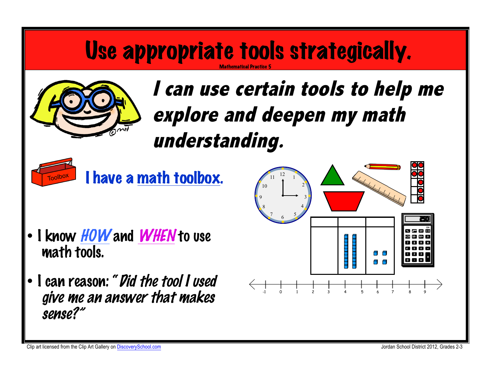#### Use appropriate tools strategically. Mathematical Practice 5



**I can use certain tools to help me explore and deepen my math understanding.**



I have a math toolbox.

- I know HOW and WHEN to use math tools.
- I can reason: "Did the tool I used give me an answer that makes sense?"

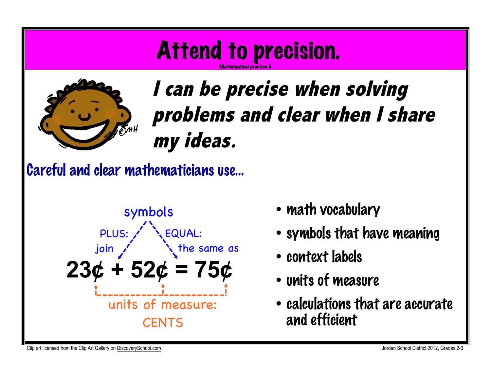# Attend to precision.

Mathematical practice 6



# **I can be precise when solving problems and clear when I share my ideas.**

Careful and clear mathematicians use…



- math vocabulary
- symbols that have meaning
- context labels
- units of measure
- calculations that are accurate and efficient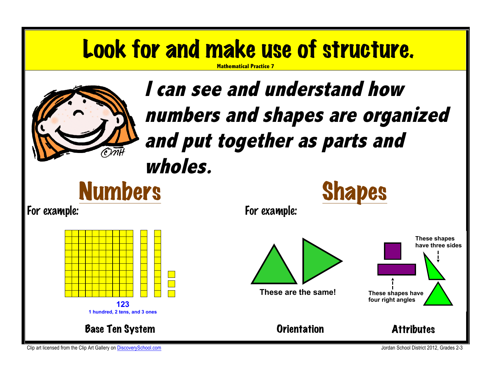